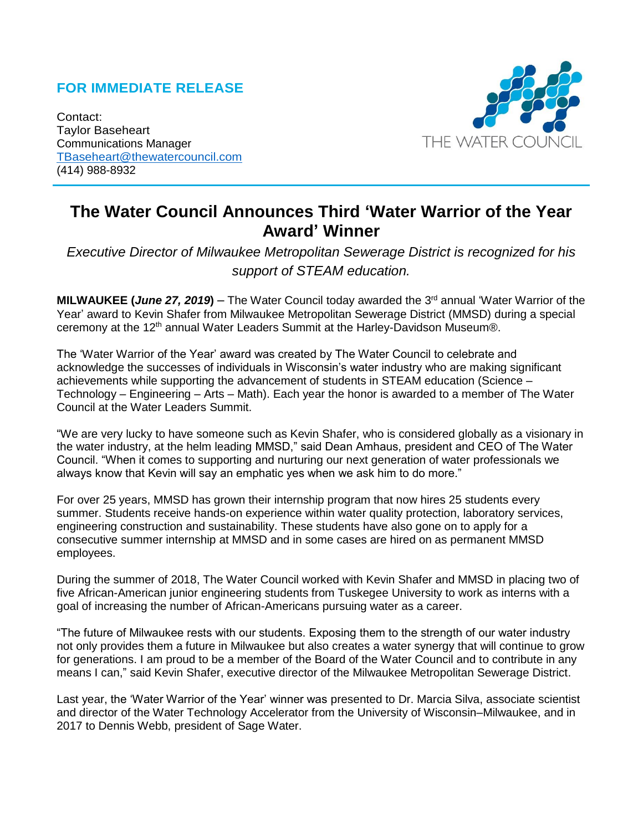## **FOR IMMEDIATE RELEASE**

Contact: Taylor Baseheart Communications Manager [TBaseheart@thewatercouncil.com](mailto:TBaseheart@thewatercouncil.com) (414) 988-8932



# **The Water Council Announces Third 'Water Warrior of the Year Award' Winner**

*Executive Director of Milwaukee Metropolitan Sewerage District is recognized for his support of STEAM education.*

**MILWAUKEE (***June* **27, 2019)** – The Water Council today awarded the 3<sup>rd</sup> annual 'Water Warrior of the Year' award to Kevin Shafer from Milwaukee Metropolitan Sewerage District (MMSD) during a special ceremony at the 12<sup>th</sup> annual Water Leaders Summit at the Harley-Davidson Museum®.

The 'Water Warrior of the Year' award was created by The Water Council to celebrate and acknowledge the successes of individuals in Wisconsin's water industry who are making significant achievements while supporting the advancement of students in STEAM education (Science – Technology – Engineering – Arts – Math). Each year the honor is awarded to a member of The Water Council at the Water Leaders Summit.

"We are very lucky to have someone such as Kevin Shafer, who is considered globally as a visionary in the water industry, at the helm leading MMSD," said Dean Amhaus, president and CEO of The Water Council. "When it comes to supporting and nurturing our next generation of water professionals we always know that Kevin will say an emphatic yes when we ask him to do more."

For over 25 years, MMSD has grown their internship program that now hires 25 students every summer. Students receive hands-on experience within water quality protection, laboratory services, engineering construction and sustainability. These students have also gone on to apply for a consecutive summer internship at MMSD and in some cases are hired on as permanent MMSD employees.

During the summer of 2018, The Water Council worked with Kevin Shafer and MMSD in placing two of five African-American junior engineering students from Tuskegee University to work as interns with a goal of increasing the number of African-Americans pursuing water as a career.

"The future of Milwaukee rests with our students. Exposing them to the strength of our water industry not only provides them a future in Milwaukee but also creates a water synergy that will continue to grow for generations. I am proud to be a member of the Board of the Water Council and to contribute in any means I can," said Kevin Shafer, executive director of the Milwaukee Metropolitan Sewerage District.

Last year, the 'Water Warrior of the Year' winner was presented to Dr. Marcia Silva, associate scientist and director of the Water Technology Accelerator from the University of Wisconsin–Milwaukee, and in 2017 to Dennis Webb, president of Sage Water.